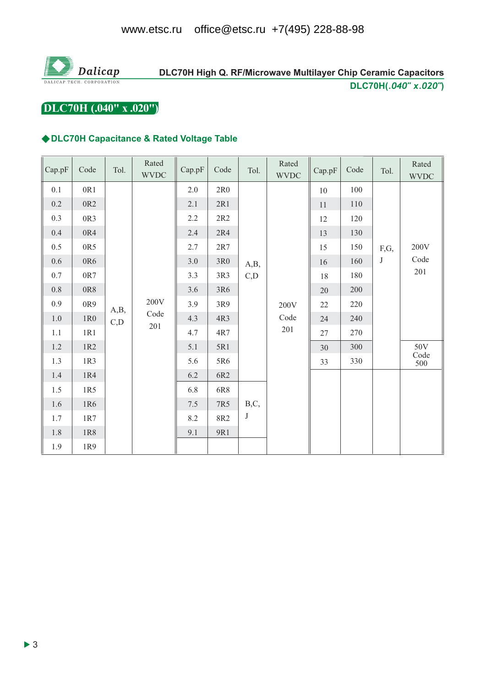

### DLC70H High Q. RF/Microwave Multilayer Chip Ceramic Capacitors DLC70H(.040" x.020")

DLC70H (.040" x .020")

#### ◆DLC70H Capacitance & Rated Voltage Table

| Cap.pF  | Code            | Tol.                                | Rated<br><b>WVDC</b> | Cap.pF | Code       | Tol.         | Rated<br><b>WVDC</b> | Cap.pF | Code    | Tol.    | Rated<br><b>WVDC</b> |
|---------|-----------------|-------------------------------------|----------------------|--------|------------|--------------|----------------------|--------|---------|---------|----------------------|
| 0.1     | 0R1             |                                     |                      | 2.0    | 2R0        |              |                      | 10     | 100     |         |                      |
| $0.2\,$ | $0{\rm R}2$     |                                     |                      | 2.1    | 2R1        |              |                      | 11     | $110\,$ |         |                      |
| 0.3     | 0R3             |                                     |                      | 2.2    | $2R2$      |              |                      | 12     | 120     |         | 200V<br>Code         |
| 0.4     | 0R4             |                                     |                      | 2.4    | 2R4        | A,B,<br>C, D |                      | 13     | 130     |         |                      |
| 0.5     | 0R5             |                                     |                      | 2.7    | 2R7        |              |                      | 15     | 150     | F,G,    |                      |
| $0.6\,$ | 0R6             | 200V<br>A,B,<br>Code<br>C, D<br>201 |                      | 3.0    | 3R0        |              |                      | 16     | 160     | $\bf J$ |                      |
| $0.7\,$ | 0R7             |                                     |                      | 3.3    | 3R3        |              |                      | 18     | 180     |         | $201\,$              |
| $0.8\,$ | $0{\rm R}8$     |                                     |                      | 3.6    | 3R6        |              | 200V<br>Code         | 20     | 200     |         |                      |
| 0.9     | 0R9             |                                     |                      | 3.9    | 3R9        |              |                      | $22\,$ | 220     |         |                      |
| $1.0\,$ | 1R <sub>0</sub> |                                     |                      | 4.3    | 4R3        |              |                      | 24     | 240     |         |                      |
| 1.1     | 1R1             |                                     |                      | 4.7    | 4R7        |              | 201                  | 27     | 270     |         |                      |
| $1.2$   | 1R2             |                                     |                      | 5.1    | 5R1        |              |                      | 30     | 300     |         | 50V                  |
| 1.3     | 1R3             |                                     |                      | 5.6    | 5R6        |              |                      | 33     | 330     |         | Code<br>500          |
| $1.4\,$ | 1R4             |                                     | 6.2                  | 6R2    |            |              |                      |        |         |         |                      |
| 1.5     | 1R5             |                                     |                      | 6.8    | 6R8        | B,C,<br>J    |                      |        |         |         |                      |
| $1.6\,$ | 1R6             |                                     |                      | 7.5    | 7R5        |              |                      |        |         |         |                      |
| $1.7\,$ | $1{\rm R}7$     |                                     |                      | 8.2    | <b>8R2</b> |              |                      |        |         |         |                      |
| $1.8\,$ | $1R8$           |                                     | 9.1                  | 9R1    |            |              |                      |        |         |         |                      |
| 1.9     | 1R9             |                                     |                      |        |            |              |                      |        |         |         |                      |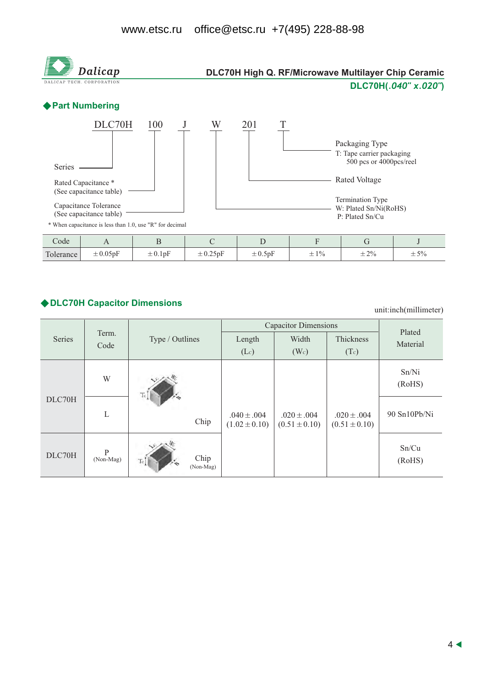

#### ◆ DLC70H Capacitor Dimensions

unit:inch(millimeter)

|        |                | Type / Outlines |                   | <b>Capacitor Dimensions</b>          | Plated                               |                                      |                 |
|--------|----------------|-----------------|-------------------|--------------------------------------|--------------------------------------|--------------------------------------|-----------------|
| Series | Term.<br>Code  |                 |                   | Width<br>Length                      |                                      | Thickness                            | Material        |
|        |                |                 |                   | (Lc)                                 | (W <sub>c</sub> )                    | (Tc)                                 |                 |
| DLC70H | W              |                 |                   |                                      |                                      |                                      | Sn/Ni<br>(RoHS) |
|        | L              |                 | Chip              | $.040 \pm .004$<br>$(1.02 \pm 0.10)$ | $.020 \pm .004$<br>$(0.51 \pm 0.10)$ | $.020 \pm .004$<br>$(0.51 \pm 0.10)$ | 90 Sn10Pb/Ni    |
| DLC70H | P<br>(Non-Mag) | Te <sup>7</sup> | Chip<br>(Non-Mag) |                                      |                                      |                                      | Sn/Cu<br>(RoHS) |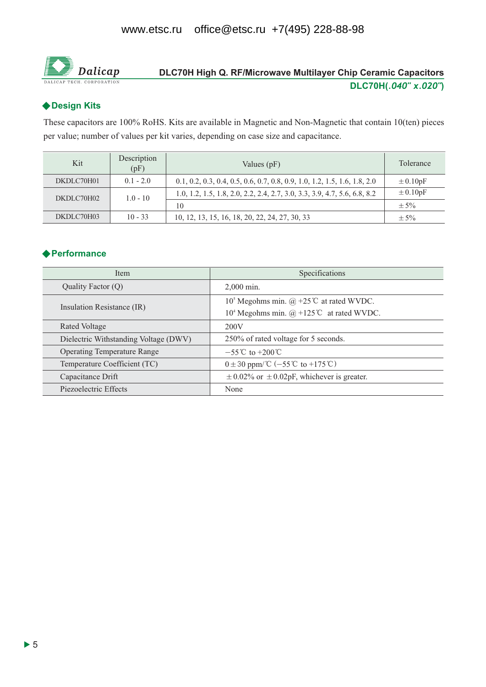

## DLC70H High Q. RF/Microwave Multilayer Chip Ceramic Capacitors DLC70H(.040" x.020")

#### ◆ Design Kits

These capacitors are 100% RoHS. Kits are available in Magnetic and Non-Magnetic that contain 10(ten) pieces per value; number of values per kit varies, depending on case size and capacitance.

| Kit        | Description<br>(pF) | Values $(pF)$                                                             | Tolerance    |
|------------|---------------------|---------------------------------------------------------------------------|--------------|
| DKDLC70H01 | $0.1 - 2.0$         | 0.1, 0.2, 0.3, 0.4, 0.5, 0.6, 0.7, 0.8, 0.9, 1.0, 1.2, 1.5, 1.6, 1.8, 2.0 | $\pm 0.10pF$ |
| DKDLC70H02 | $1.0 - 10$          | 1.0, 1.2, 1.5, 1.8, 2.0, 2.2, 2.4, 2.7, 3.0, 3.3, 3.9, 4.7, 5.6, 6.8, 8.2 | $\pm 0.10pF$ |
|            |                     | 10                                                                        | $\pm$ 5%     |
| DKDLC70H03 | $10 - 33$           | 10, 12, 13, 15, 16, 18, 20, 22, 24, 27, 30, 33                            | $\pm$ 5%     |

#### ◆ Performance

| Item                                  | Specifications                                                   |  |  |  |
|---------------------------------------|------------------------------------------------------------------|--|--|--|
| Quality Factor (Q)                    | $2.000$ min.                                                     |  |  |  |
|                                       | 10 <sup>5</sup> Megohms min. @ +25 <sup>°</sup> C at rated WVDC. |  |  |  |
| Insulation Resistance (IR)            | 10 <sup>4</sup> Megohms min. @ +125°C at rated WVDC.             |  |  |  |
| Rated Voltage                         | 200V                                                             |  |  |  |
| Dielectric Withstanding Voltage (DWV) | 250% of rated voltage for 5 seconds.                             |  |  |  |
| <b>Operating Temperature Range</b>    | $-55^{\circ}$ C to $+200^{\circ}$ C                              |  |  |  |
| Temperature Coefficient (TC)          | $0 \pm 30$ ppm/°C (-55°C to +175°C)                              |  |  |  |
| Capacitance Drift                     | $\pm$ 0.02% or $\pm$ 0.02pF, whichever is greater.               |  |  |  |
| Piezoelectric Effects                 | None                                                             |  |  |  |